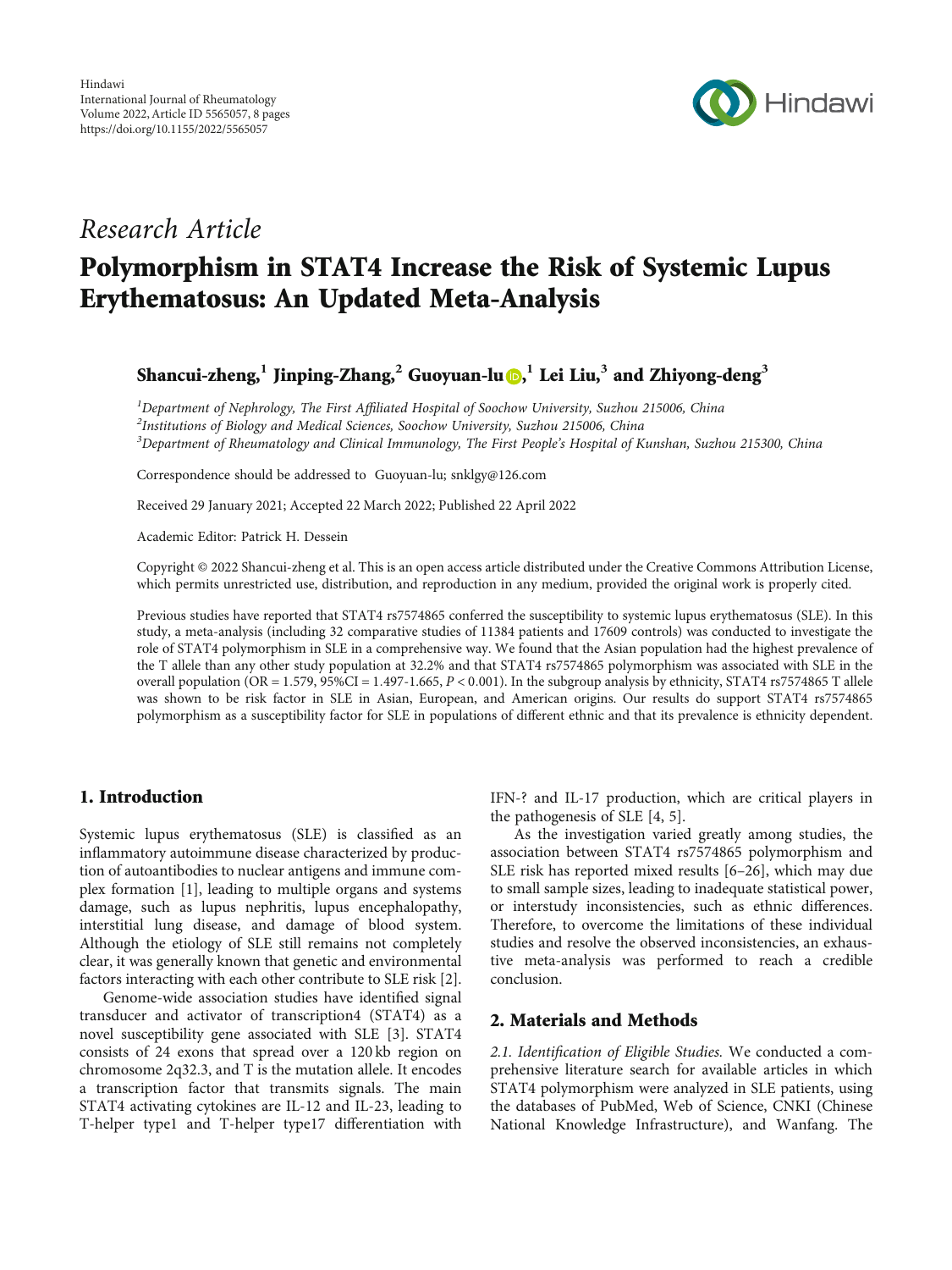

# Research Article

# Polymorphism in STAT4 Increase the Risk of Systemic Lupus Erythematosus: An Updated Meta-Analysis

Shancui-zheng,**<sup>1</sup>** Jinping-Zhang,**<sup>2</sup>** Guoyuan-lu [,](https://orcid.org/0000-0003-4945-8509) **<sup>1</sup>** Lei Liu,**<sup>3</sup>** and Zhiyong-deng**<sup>3</sup>**

<sup>1</sup>Department of Nephrology, The First Affiliated Hospital of Soochow University, Suzhou 215006, China<br><sup>2</sup>Institutions of Piclogy and Modical Sciences, Soochow University, Suzhou 215006, China

 $^{2}$ Institutions of Biology and Medical Sciences, Soochow University, Suzhou 215006, China

<sup>3</sup>Department of Rheumatology and Clinical Immunology, The First People's Hospital of Kunshan, Suzhou 215300, China

Correspondence should be addressed to Guoyuan-lu; snklgy@126.com

Received 29 January 2021; Accepted 22 March 2022; Published 22 April 2022

Academic Editor: Patrick H. Dessein

Copyright © 2022 Shancui-zheng et al. This is an open access article distributed under the [Creative Commons Attribution License](https://creativecommons.org/licenses/by/4.0/), which permits unrestricted use, distribution, and reproduction in any medium, provided the original work is properly cited.

Previous studies have reported that STAT4 rs7574865 conferred the susceptibility to systemic lupus erythematosus (SLE). In this study, a meta-analysis (including 32 comparative studies of 11384 patients and 17609 controls) was conducted to investigate the role of STAT4 polymorphism in SLE in a comprehensive way. We found that the Asian population had the highest prevalence of the T allele than any other study population at 32.2% and that STAT4 rs7574865 polymorphism was associated with SLE in the overall population (OR = 1*:*579, 95*%*CI = 1*:*497-1.665, *P* < 0*:*001). In the subgroup analysis by ethnicity, STAT4 rs7574865 T allele was shown to be risk factor in SLE in Asian, European, and American origins. Our results do support STAT4 rs7574865 polymorphism as a susceptibility factor for SLE in populations of different ethnic and that its prevalence is ethnicity dependent.

#### 1. Introduction

Systemic lupus erythematosus (SLE) is classified as an inflammatory autoimmune disease characterized by production of autoantibodies to nuclear antigens and immune complex formation [\[1\]](#page-6-0), leading to multiple organs and systems damage, such as lupus nephritis, lupus encephalopathy, interstitial lung disease, and damage of blood system. Although the etiology of SLE still remains not completely clear, it was generally known that genetic and environmental factors interacting with each other contribute to SLE risk [[2](#page-6-0)].

Genome-wide association studies have identified signal transducer and activator of transcription4 (STAT4) as a novel susceptibility gene associated with SLE [\[3](#page-6-0)]. STAT4 consists of 24 exons that spread over a 120 kb region on chromosome 2q32.3, and T is the mutation allele. It encodes a transcription factor that transmits signals. The main STAT4 activating cytokines are IL-12 and IL-23, leading to T-helper type1 and T-helper type17 differentiation with IFN-? and IL-17 production, which are critical players in the pathogenesis of SLE [[4, 5\]](#page-6-0).

As the investigation varied greatly among studies, the association between STAT4 rs7574865 polymorphism and SLE risk has reported mixed results [[6](#page-6-0)–[26](#page-6-0)], which may due to small sample sizes, leading to inadequate statistical power, or interstudy inconsistencies, such as ethnic differences. Therefore, to overcome the limitations of these individual studies and resolve the observed inconsistencies, an exhaustive meta-analysis was performed to reach a credible conclusion.

#### 2. Materials and Methods

2.1. Identification of Eligible Studies. We conducted a comprehensive literature search for available articles in which STAT4 polymorphism were analyzed in SLE patients, using the databases of PubMed, Web of Science, CNKI (Chinese National Knowledge Infrastructure), and Wanfang. The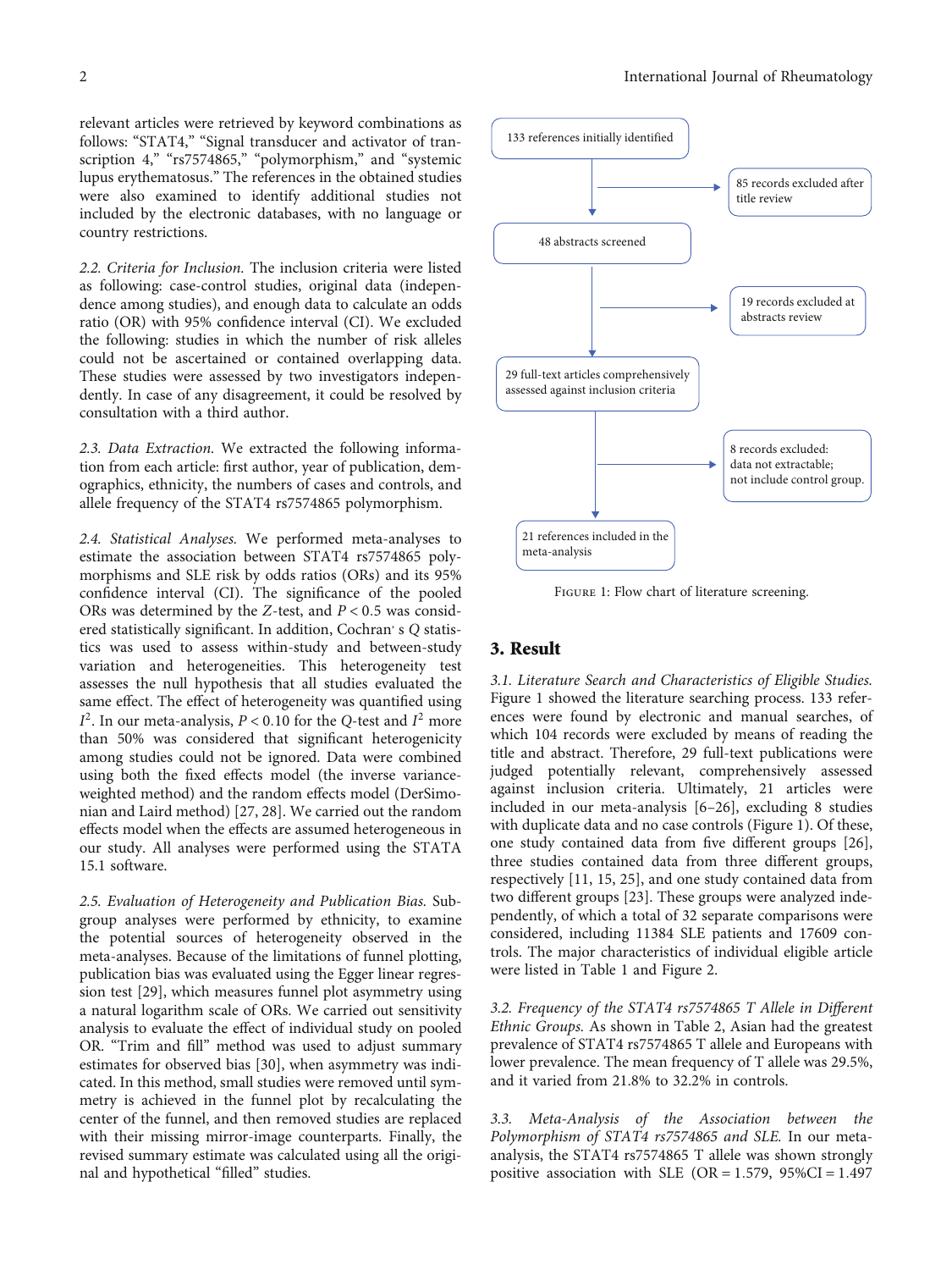relevant articles were retrieved by keyword combinations as follows: "STAT4," "Signal transducer and activator of transcription 4," "rs7574865," "polymorphism," and "systemic lupus erythematosus." The references in the obtained studies were also examined to identify additional studies not included by the electronic databases, with no language or country restrictions.

2.2. Criteria for Inclusion. The inclusion criteria were listed as following: case-control studies, original data (independence among studies), and enough data to calculate an odds ratio (OR) with 95% confidence interval (CI). We excluded the following: studies in which the number of risk alleles could not be ascertained or contained overlapping data. These studies were assessed by two investigators independently. In case of any disagreement, it could be resolved by consultation with a third author.

2.3. Data Extraction. We extracted the following information from each article: first author, year of publication, demographics, ethnicity, the numbers of cases and controls, and allele frequency of the STAT4 rs7574865 polymorphism.

2.4. Statistical Analyses. We performed meta-analyses to estimate the association between STAT4 rs7574865 polymorphisms and SLE risk by odds ratios (ORs) and its 95% confidence interval (CI). The significance of the pooled ORs was determined by the *Z*-test, and *P* < 0*:*5 was considered statistically significant. In addition, Cochran's Q statistics was used to assess within-study and between-study variation and heterogeneities. This heterogeneity test assesses the null hypothesis that all studies evaluated the same effect. The effect of heterogeneity was quantified using  $I^2$ . In our meta-analysis,  $P < 0.10$  for the *Q*-test and  $I^2$  more than 50% was considered that significant heterogenicity among studies could not be ignored. Data were combined using both the fixed effects model (the inverse varianceweighted method) and the random effects model (DerSimonian and Laird method) [[27, 28\]](#page-6-0). We carried out the random effects model when the effects are assumed heterogeneous in our study. All analyses were performed using the STATA 15.1 software.

2.5. Evaluation of Heterogeneity and Publication Bias. Subgroup analyses were performed by ethnicity, to examine the potential sources of heterogeneity observed in the meta-analyses. Because of the limitations of funnel plotting, publication bias was evaluated using the Egger linear regression test [[29](#page-7-0)], which measures funnel plot asymmetry using a natural logarithm scale of ORs. We carried out sensitivity analysis to evaluate the effect of individual study on pooled OR. "Trim and fill" method was used to adjust summary estimates for observed bias [\[30\]](#page-7-0), when asymmetry was indicated. In this method, small studies were removed until symmetry is achieved in the funnel plot by recalculating the center of the funnel, and then removed studies are replaced with their missing mirror-image counterparts. Finally, the revised summary estimate was calculated using all the original and hypothetical "filled" studies.



Figure 1: Flow chart of literature screening.

### 3. Result

3.1. Literature Search and Characteristics of Eligible Studies. Figure 1 showed the literature searching process. 133 references were found by electronic and manual searches, of which 104 records were excluded by means of reading the title and abstract. Therefore, 29 full-text publications were judged potentially relevant, comprehensively assessed against inclusion criteria. Ultimately, 21 articles were included in our meta-analysis [[6](#page-6-0)–[26](#page-6-0)], excluding 8 studies with duplicate data and no case controls (Figure 1). Of these, one study contained data from five different groups [[26](#page-6-0)], three studies contained data from three different groups, respectively [[11](#page-6-0), [15, 25](#page-6-0)], and one study contained data from two different groups [\[23\]](#page-6-0). These groups were analyzed independently, of which a total of 32 separate comparisons were considered, including 11384 SLE patients and 17609 controls. The major characteristics of individual eligible article were listed in Table [1](#page-2-0) and Figure [2](#page--1-0).

3.2. Frequency of the STAT4 rs7574865 T Allele in Different Ethnic Groups. As shown in Table [2,](#page--1-0) Asian had the greatest prevalence of STAT4 rs7574865 T allele and Europeans with lower prevalence. The mean frequency of T allele was 29.5%, and it varied from 21.8% to 32.2% in controls.

3.3. Meta-Analysis of the Association between the Polymorphism of STAT4 rs7574865 and SLE. In our metaanalysis, the STAT4 rs7574865 T allele was shown strongly positive association with SLE (OR = 1*:*579, 95*%*CI = 1*:*497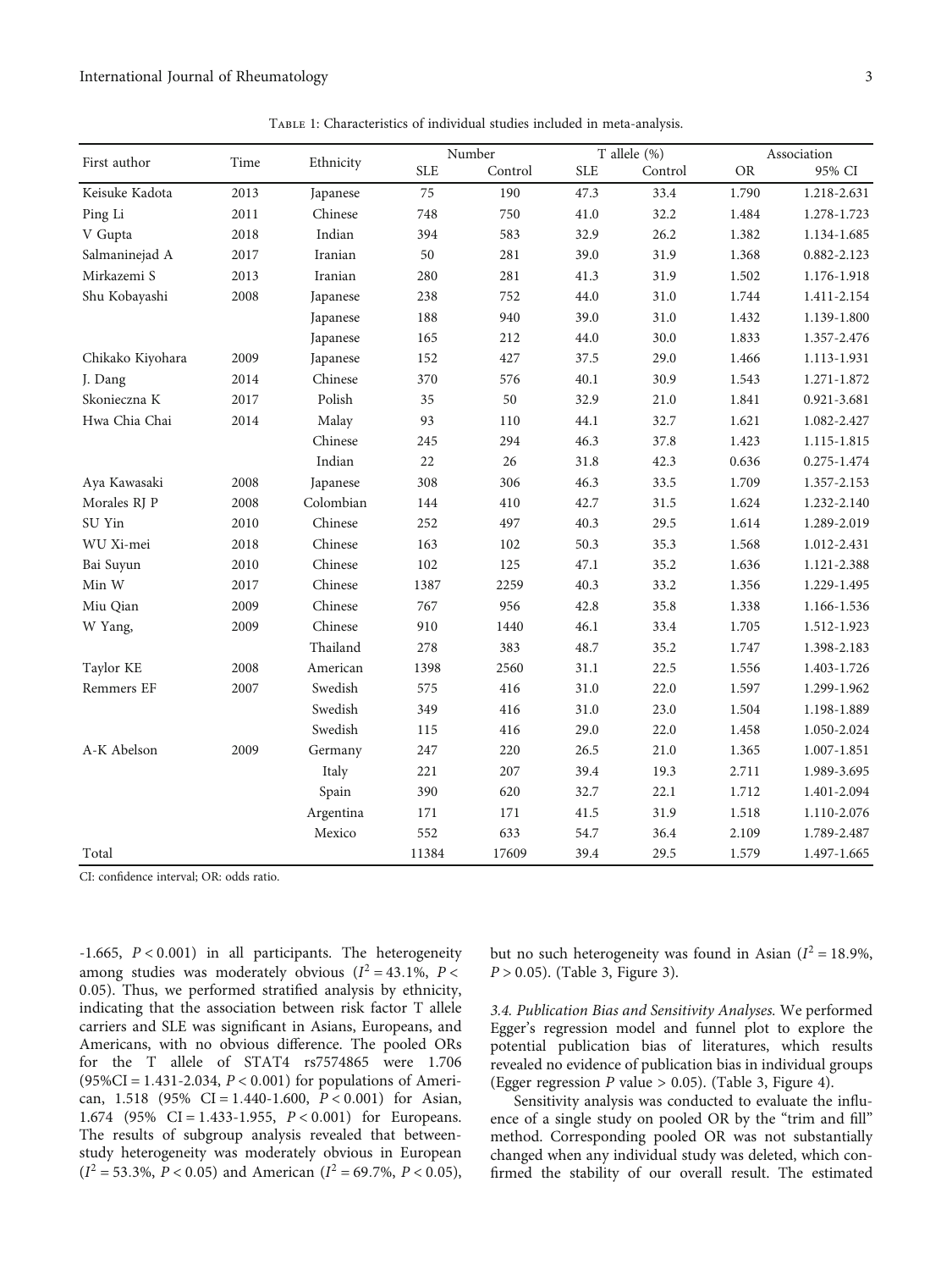<span id="page-2-0"></span>

|                  |      | Ethnicity |            | Number  |             | T allele (%) |           | Association |  |
|------------------|------|-----------|------------|---------|-------------|--------------|-----------|-------------|--|
| First author     | Time |           | <b>SLE</b> | Control | ${\rm SLE}$ | Control      | <b>OR</b> | 95% CI      |  |
| Keisuke Kadota   | 2013 | Japanese  | 75         | 190     | 47.3        | 33.4         | 1.790     | 1.218-2.631 |  |
| Ping Li          | 2011 | Chinese   | 748        | 750     | 41.0        | 32.2         | 1.484     | 1.278-1.723 |  |
| V Gupta          | 2018 | Indian    | 394        | 583     | 32.9        | 26.2         | 1.382     | 1.134-1.685 |  |
| Salmaninejad A   | 2017 | Iranian   | 50         | 281     | 39.0        | 31.9         | 1.368     | 0.882-2.123 |  |
| Mirkazemi S      | 2013 | Iranian   | 280        | 281     | 41.3        | 31.9         | 1.502     | 1.176-1.918 |  |
| Shu Kobayashi    | 2008 | Japanese  | 238        | 752     | 44.0        | 31.0         | 1.744     | 1.411-2.154 |  |
|                  |      | Japanese  | 188        | 940     | 39.0        | 31.0         | 1.432     | 1.139-1.800 |  |
|                  |      | Japanese  | 165        | 212     | 44.0        | 30.0         | 1.833     | 1.357-2.476 |  |
| Chikako Kiyohara | 2009 | Japanese  | 152        | 427     | 37.5        | 29.0         | 1.466     | 1.113-1.931 |  |
| J. Dang          | 2014 | Chinese   | 370        | 576     | 40.1        | 30.9         | 1.543     | 1.271-1.872 |  |
| Skonieczna K     | 2017 | Polish    | 35         | 50      | 32.9        | 21.0         | $1.841\,$ | 0.921-3.681 |  |
| Hwa Chia Chai    | 2014 | Malay     | 93         | 110     | 44.1        | 32.7         | 1.621     | 1.082-2.427 |  |
|                  |      | Chinese   | 245        | 294     | 46.3        | 37.8         | 1.423     | 1.115-1.815 |  |
|                  |      | Indian    | 22         | 26      | 31.8        | 42.3         | 0.636     | 0.275-1.474 |  |
| Aya Kawasaki     | 2008 | Japanese  | 308        | 306     | 46.3        | 33.5         | 1.709     | 1.357-2.153 |  |
| Morales RJ P     | 2008 | Colombian | 144        | 410     | 42.7        | 31.5         | 1.624     | 1.232-2.140 |  |
| SU Yin           | 2010 | Chinese   | 252        | 497     | 40.3        | 29.5         | 1.614     | 1.289-2.019 |  |
| WU Xi-mei        | 2018 | Chinese   | 163        | 102     | 50.3        | 35.3         | 1.568     | 1.012-2.431 |  |
| Bai Suyun        | 2010 | Chinese   | 102        | 125     | 47.1        | 35.2         | 1.636     | 1.121-2.388 |  |
| Min W            | 2017 | Chinese   | 1387       | 2259    | 40.3        | 33.2         | 1.356     | 1.229-1.495 |  |
| Miu Qian         | 2009 | Chinese   | 767        | 956     | 42.8        | 35.8         | 1.338     | 1.166-1.536 |  |
| W Yang,          | 2009 | Chinese   | 910        | 1440    | 46.1        | 33.4         | 1.705     | 1.512-1.923 |  |
|                  |      | Thailand  | 278        | 383     | 48.7        | 35.2         | 1.747     | 1.398-2.183 |  |
| Taylor KE        | 2008 | American  | 1398       | 2560    | 31.1        | 22.5         | 1.556     | 1.403-1.726 |  |
| Remmers EF       | 2007 | Swedish   | 575        | 416     | 31.0        | 22.0         | 1.597     | 1.299-1.962 |  |
|                  |      | Swedish   | 349        | 416     | 31.0        | 23.0         | 1.504     | 1.198-1.889 |  |
|                  |      | Swedish   | 115        | 416     | 29.0        | 22.0         | 1.458     | 1.050-2.024 |  |
| A-K Abelson      | 2009 | Germany   | 247        | 220     | 26.5        | 21.0         | 1.365     | 1.007-1.851 |  |
|                  |      | Italy     | 221        | 207     | 39.4        | 19.3         | 2.711     | 1.989-3.695 |  |
|                  |      | Spain     | 390        | 620     | 32.7        | 22.1         | 1.712     | 1.401-2.094 |  |
|                  |      | Argentina | 171        | 171     | 41.5        | 31.9         | 1.518     | 1.110-2.076 |  |
|                  |      | Mexico    | 552        | 633     | 54.7        | 36.4         | 2.109     | 1.789-2.487 |  |
| Total            |      |           | 11384      | 17609   | 39.4        | 29.5         | 1.579     | 1.497-1.665 |  |

CI: confidence interval; OR: odds ratio.

-1.665, *P* < 0*:*001) in all participants. The heterogeneity among studies was moderately obvious  $(I^2 = 43.1\% , P <$ 0*:*05). Thus, we performed stratified analysis by ethnicity, indicating that the association between risk factor T allele carriers and SLE was significant in Asians, Europeans, and Americans, with no obvious difference. The pooled ORs for the T allele of STAT4 rs7574865 were 1.706 (95*%*CI = 1*:*431-2.034, *P* < 0*:*001) for populations of American, 1.518 (95% CI = 1*:*440-1.600, *P* < 0*:*001) for Asian, 1.674 (95% CI = 1*:*433-1.955, *P* < 0*:*001) for Europeans. The results of subgroup analysis revealed that betweenstudy heterogeneity was moderately obvious in European  $(I^2 = 53.3\%, P < 0.05)$  and American  $(I^2 = 69.7\%, P < 0.05)$ ,

but no such heterogeneity was found in Asian ( $I^2 = 18.9\%$ , *P* > 0*:*05). (Table [3,](#page-4-0) Figure [3](#page-4-0)).

3.4. Publication Bias and Sensitivity Analyses. We performed Egger's regression model and funnel plot to explore the potential publication bias of literatures, which results revealed no evidence of publication bias in individual groups (Egger regression *P* value > 0.05). (Table [3,](#page-4-0) Figure [4](#page-5-0)).

Sensitivity analysis was conducted to evaluate the influence of a single study on pooled OR by the "trim and fill" method. Corresponding pooled OR was not substantially changed when any individual study was deleted, which confirmed the stability of our overall result. The estimated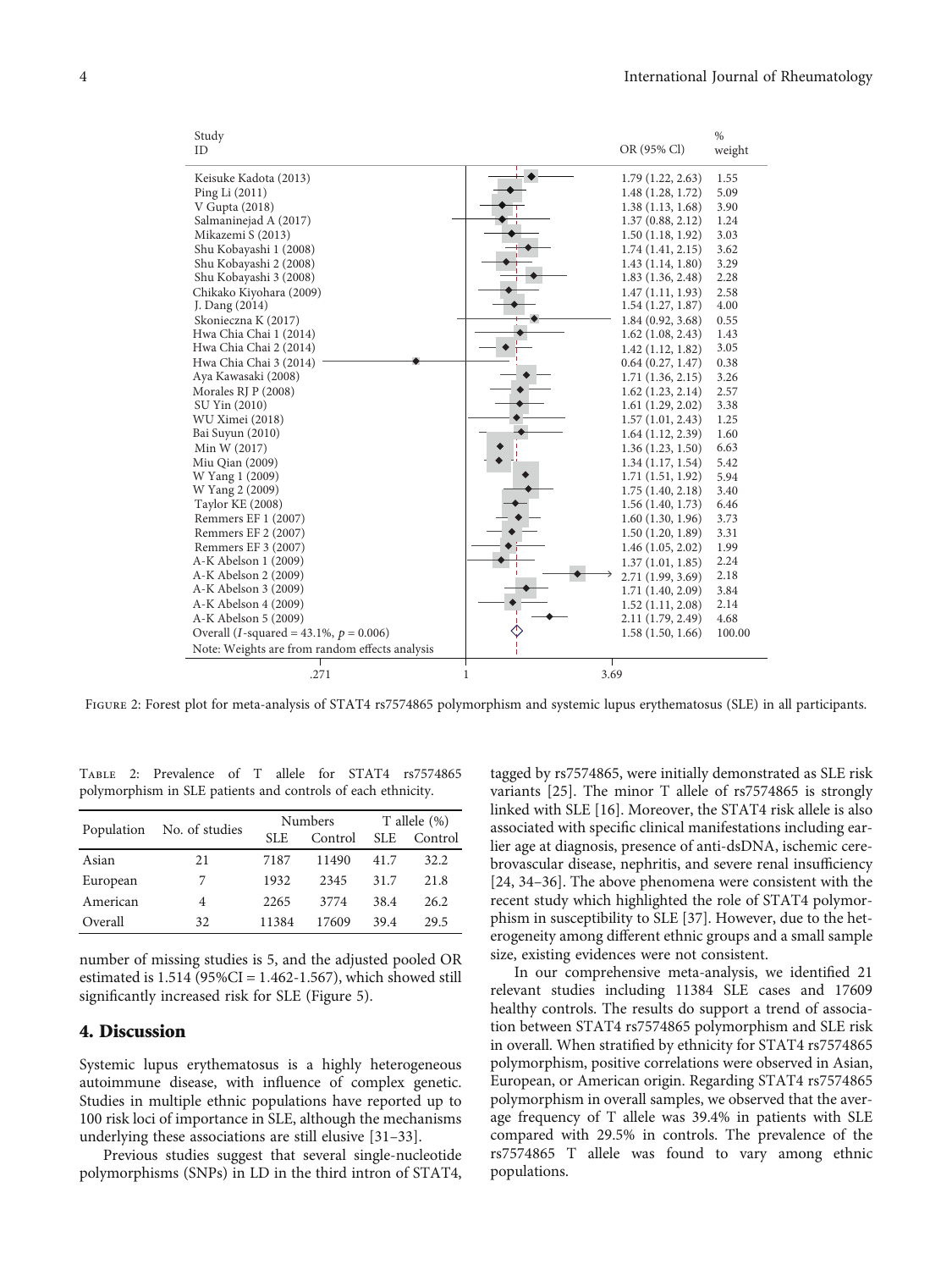| Study                                              |                     | $\frac{0}{0}$ |
|----------------------------------------------------|---------------------|---------------|
| ID                                                 | OR (95% Cl)         | weight        |
| Keisuke Kadota (2013)                              | 1.79(1.22, 2.63)    | 1.55          |
| Ping Li (2011)                                     | 1.48(1.28, 1.72)    | 5.09          |
| V Gupta (2018)                                     | 1.38(1.13, 1.68)    | 3.90          |
| Salmaninejad A (2017)                              | 1.37(0.88, 2.12)    | 1.24          |
| Mikazemi S (2013)                                  | 1.50(1.18, 1.92)    | 3.03          |
| Shu Kobayashi 1 (2008)                             | 1.74(1.41, 2.15)    | 3.62          |
| Shu Kobayashi 2 (2008)                             | 1.43(1.14, 1.80)    | 3.29          |
| Shu Kobayashi 3 (2008)                             | 1.83(1.36, 2.48)    | 2.28          |
| Chikako Kiyohara (2009)                            | 1.47(1.11, 1.93)    | 2.58          |
| J. Dang (2014)                                     | 1.54(1.27, 1.87)    | 4.00          |
| Skonieczna K (2017)                                | 1.84(0.92, 3.68)    | 0.55          |
| Hwa Chia Chai 1 (2014)                             | $1.62$ (1.08, 2.43) | 1.43          |
| Hwa Chia Chai 2 (2014)                             | 1.42(1.12, 1.82)    | 3.05          |
| Hwa Chia Chai 3 (2014)                             | 0.64(0.27, 1.47)    | 0.38          |
| Aya Kawasaki (2008)                                | 1.71(1.36, 2.15)    | 3.26          |
| Morales RJ P (2008)                                | 1.62(1.23, 2.14)    | 2.57          |
| SU Yin (2010)                                      | 1.61(1.29, 2.02)    | 3.38          |
| WU Ximei (2018)                                    | 1.57(1.01, 2.43)    | 1.25          |
| Bai Suyun (2010)                                   | 1.64(1.12, 2.39)    | 1.60          |
| Min W (2017)                                       | 1.36(1.23, 1.50)    | 6.63          |
| Miu Qian (2009)                                    | 1.34(1.17, 1.54)    | 5.42          |
| W Yang 1 (2009)                                    | 1.71(1.51, 1.92)    | 5.94          |
| W Yang 2 (2009)                                    | 1.75(1.40, 2.18)    | 3.40          |
| <b>Taylor KE (2008)</b>                            | 1.56(1.40, 1.73)    | 6.46          |
| Remmers EF 1 (2007)                                | 1.60(1.30, 1.96)    | 3.73          |
| Remmers EF 2 (2007)                                | 1.50(1.20, 1.89)    | 3.31          |
| Remmers EF 3 (2007)                                | 1.46(1.05, 2.02)    | 1.99          |
| A-K Abelson 1 (2009)                               | 1.37(1.01, 1.85)    | 2.24          |
| A-K Abelson 2 (2009)                               | 2.71 (1.99, 3.69)   | 2.18          |
| A-K Abelson 3 (2009)                               | 1.71 (1.40, 2.09)   | 3.84          |
| A-K Abelson 4 (2009)                               | 1.52(1.11, 2.08)    | 2.14          |
| A-K Abelson 5 (2009)                               | 2.11 (1.79, 2.49)   | 4.68          |
| Overall ( <i>I</i> -squared = 43.1%, $p = 0.006$ ) | 1.58(1.50, 1.66)    | 100.00        |
| Note: Weights are from random effects analysis     |                     |               |
| .271                                               | 3.69<br>$\mathbf 1$ |               |

Figure 2: Forest plot for meta-analysis of STAT4 rs7574865 polymorphism and systemic lupus erythematosus (SLE) in all participants.

Table 2: Prevalence of T allele for STAT4 rs7574865 polymorphism in SLE patients and controls of each ethnicity.

|            |                |       | Numbers | T allele $(\%)$ |         |
|------------|----------------|-------|---------|-----------------|---------|
| Population | No. of studies | SLE.  | Control | <b>SLE</b>      | Control |
| Asian      | 21             | 7187  | 11490   | 41.7            | 32.2    |
| European   | 7              | 1932  | 2345    | 31.7            | 21.8    |
| American   | 4              | 2265  | 3774    | 38.4            | 26.2    |
| Overall    | 32.            | 11384 | 17609   | 39.4            | 29.5    |

number of missing studies is 5, and the adjusted pooled OR estimated is 1.514 (95*%*CI = 1*:*462-1.567), which showed still significantly increased risk for SLE (Figure [5](#page-5-0)).

#### 4. Discussion

Systemic lupus erythematosus is a highly heterogeneous autoimmune disease, with influence of complex genetic. Studies in multiple ethnic populations have reported up to 100 risk loci of importance in SLE, although the mechanisms underlying these associations are still elusive [\[31](#page-7-0)–[33](#page-7-0)].

Previous studies suggest that several single-nucleotide polymorphisms (SNPs) in LD in the third intron of STAT4, tagged by rs7574865, were initially demonstrated as SLE risk variants [\[25\]](#page-6-0). The minor T allele of rs7574865 is strongly linked with SLE [\[16\]](#page-6-0). Moreover, the STAT4 risk allele is also associated with specific clinical manifestations including earlier age at diagnosis, presence of anti-dsDNA, ischemic cerebrovascular disease, nephritis, and severe renal insufficiency [\[24](#page-6-0), [34](#page-7-0)–[36](#page-7-0)]. The above phenomena were consistent with the recent study which highlighted the role of STAT4 polymorphism in susceptibility to SLE [\[37\]](#page-7-0). However, due to the heterogeneity among different ethnic groups and a small sample size, existing evidences were not consistent.

In our comprehensive meta-analysis, we identified 21 relevant studies including 11384 SLE cases and 17609 healthy controls. The results do support a trend of association between STAT4 rs7574865 polymorphism and SLE risk in overall. When stratified by ethnicity for STAT4 rs7574865 polymorphism, positive correlations were observed in Asian, European, or American origin. Regarding STAT4 rs7574865 polymorphism in overall samples, we observed that the average frequency of T allele was 39.4% in patients with SLE compared with 29.5% in controls. The prevalence of the rs7574865 T allele was found to vary among ethnic populations.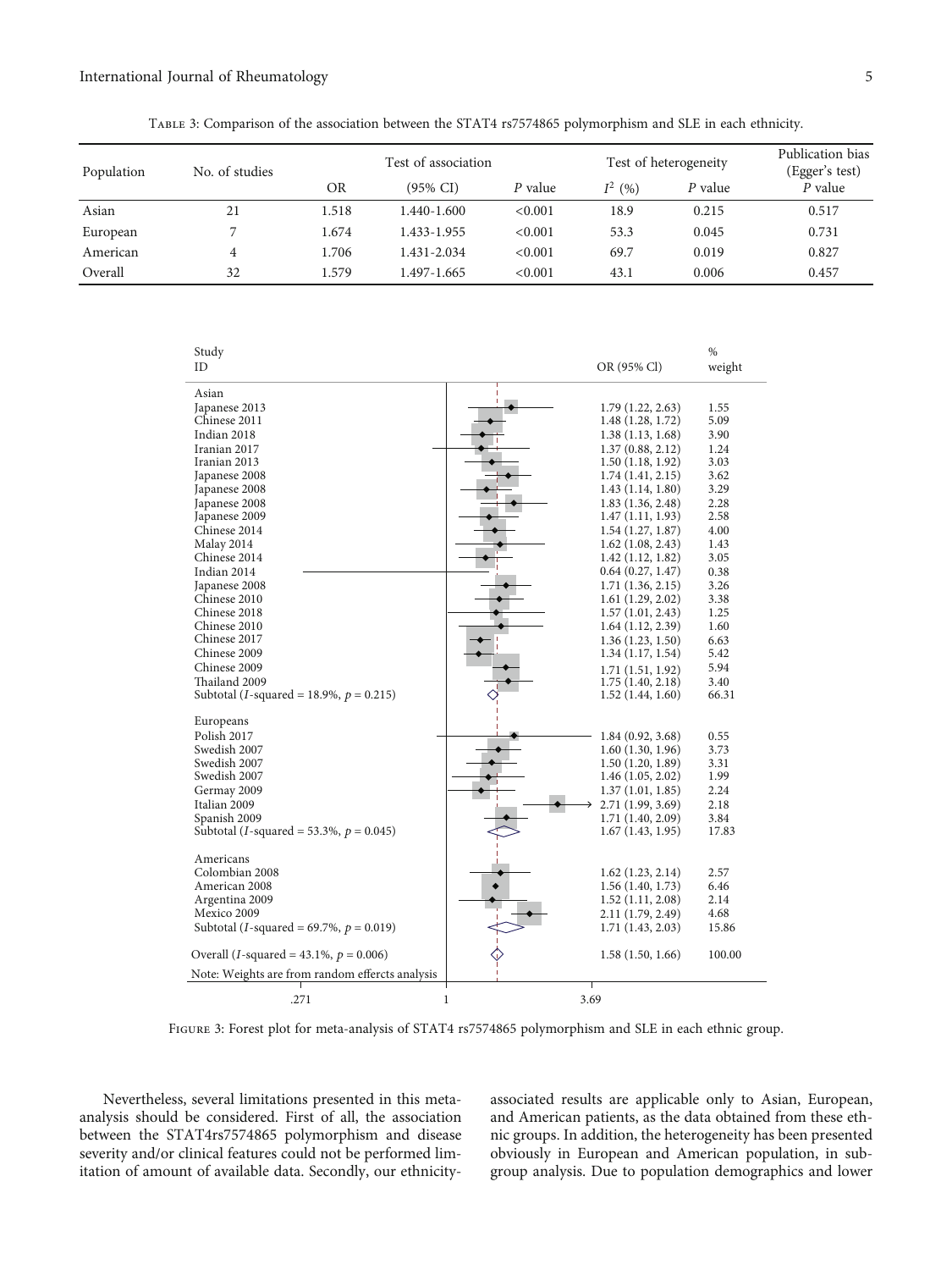<span id="page-4-0"></span>

| Population | No. of studies | Test of association |                     |         | Test of heterogeneity |         | Publication bias<br>(Egger's test) |
|------------|----------------|---------------------|---------------------|---------|-----------------------|---------|------------------------------------|
|            |                | ΟR                  | $(95\% \text{ CI})$ | P value | $I^2(96)$             | P value | P value                            |
| Asian      | 21             | 1.518               | 1.440-1.600         | < 0.001 | 18.9                  | 0.215   | 0.517                              |
| European   | ⇁              | 1.674               | 1.433-1.955         | < 0.001 | 53.3                  | 0.045   | 0.731                              |
| American   | 4              | 1.706               | 1.431-2.034         | < 0.001 | 69.7                  | 0.019   | 0.827                              |
| Overall    | 32             | 1.579               | 1.497-1.665         | < 0.001 | 43.1                  | 0.006   | 0.457                              |

| Study                                               |                     | $\%$   |
|-----------------------------------------------------|---------------------|--------|
| ID                                                  | OR (95% Cl)         | weight |
| Asian                                               |                     |        |
| Japanese 2013                                       | 1.79(1.22, 2.63)    | 1.55   |
| Chinese 2011                                        | 1.48 (1.28, 1.72)   | 5.09   |
| Indian 2018                                         | 1.38(1.13, 1.68)    | 3.90   |
| Iranian 2017                                        | 1.37(0.88, 2.12)    | 1.24   |
| Iranian 2013                                        | 1.50(1.18, 1.92)    | 3.03   |
| Japanese 2008                                       | 1.74(1.41, 2.15)    | 3.62   |
| Japanese 2008                                       | 1.43 (1.14, 1.80)   | 3.29   |
| Japanese 2008                                       | 1.83(1.36, 2.48)    | 2.28   |
| Japanese 2009                                       | 1.47(1.11, 1.93)    | 2.58   |
| Chinese 2014                                        | 1.54(1.27, 1.87)    | 4.00   |
| Malay 2014                                          | $1.62$ (1.08, 2.43) | 1.43   |
| Chinese 2014                                        | 1.42(1.12, 1.82)    | 3.05   |
| Indian 2014                                         | 0.64(0.27, 1.47)    | 0.38   |
| Japanese 2008                                       | 1.71(1.36, 2.15)    | 3.26   |
| Chinese 2010                                        | 1.61(1.29, 2.02)    | 3.38   |
| Chinese 2018                                        | 1.57(1.01, 2.43)    | 1.25   |
| Chinese 2010                                        | 1.64(1.12, 2.39)    | 1.60   |
| Chinese 2017                                        | 1.36(1.23, 1.50)    | 6.63   |
| Chinese 2009                                        | 1.34(1.17, 1.54)    | 5.42   |
| Chinese 2009                                        | 1.71(1.51, 1.92)    | 5.94   |
| Thailand 2009                                       | 1.75(1.40, 2.18)    | 3.40   |
| Subtotal ( <i>I</i> -squared = 18.9%, $p = 0.215$ ) | 1.52(1.44, 1.60)    | 66.31  |
| Europeans                                           |                     |        |
| Polish 2017                                         | 1.84 (0.92, 3.68)   | 0.55   |
| Swedish 2007                                        | 1.60(1.30, 1.96)    | 3.73   |
| Swedish 2007                                        | 1.50(1.20, 1.89)    | 3.31   |
| Swedish 2007                                        | 1.46(1.05, 2.02)    | 1.99   |
| Germay 2009                                         | 1.37(1.01, 1.85)    | 2.24   |
| Italian 2009                                        | 2.71 (1.99, 3.69)   | 2.18   |
| Spanish 2009                                        | 1.71 (1.40, 2.09)   | 3.84   |
| Subtotal ( <i>I</i> -squared = 53.3%, $p = 0.045$ ) | 1.67(1.43, 1.95)    | 17.83  |
|                                                     |                     |        |
| Americans<br>Colombian 2008                         |                     |        |
| American 2008                                       | 1.62(1.23, 2.14)    | 2.57   |
|                                                     | 1.56(1.40, 1.73)    | 6.46   |
| Argentina 2009<br>Mexico 2009                       | 1.52(1.11, 2.08)    | 2.14   |
|                                                     | 2.11 (1.79, 2.49)   | 4.68   |
| Subtotal ( <i>I</i> -squared = 69.7%, $p = 0.019$ ) | 1.71(1.43, 2.03)    | 15.86  |
| Overall ( <i>I</i> -squared = 43.1%, $p = 0.006$ )  | 1.58(1.50, 1.66)    | 100.00 |
| Note: Weights are from random effercts analysis     | Τ                   |        |
| $\mathbf{1}$<br>.271                                | 3.69                |        |

Figure 3: Forest plot for meta-analysis of STAT4 rs7574865 polymorphism and SLE in each ethnic group.

Nevertheless, several limitations presented in this metaanalysis should be considered. First of all, the association between the STAT4rs7574865 polymorphism and disease severity and/or clinical features could not be performed limitation of amount of available data. Secondly, our ethnicityassociated results are applicable only to Asian, European, and American patients, as the data obtained from these ethnic groups. In addition, the heterogeneity has been presented obviously in European and American population, in subgroup analysis. Due to population demographics and lower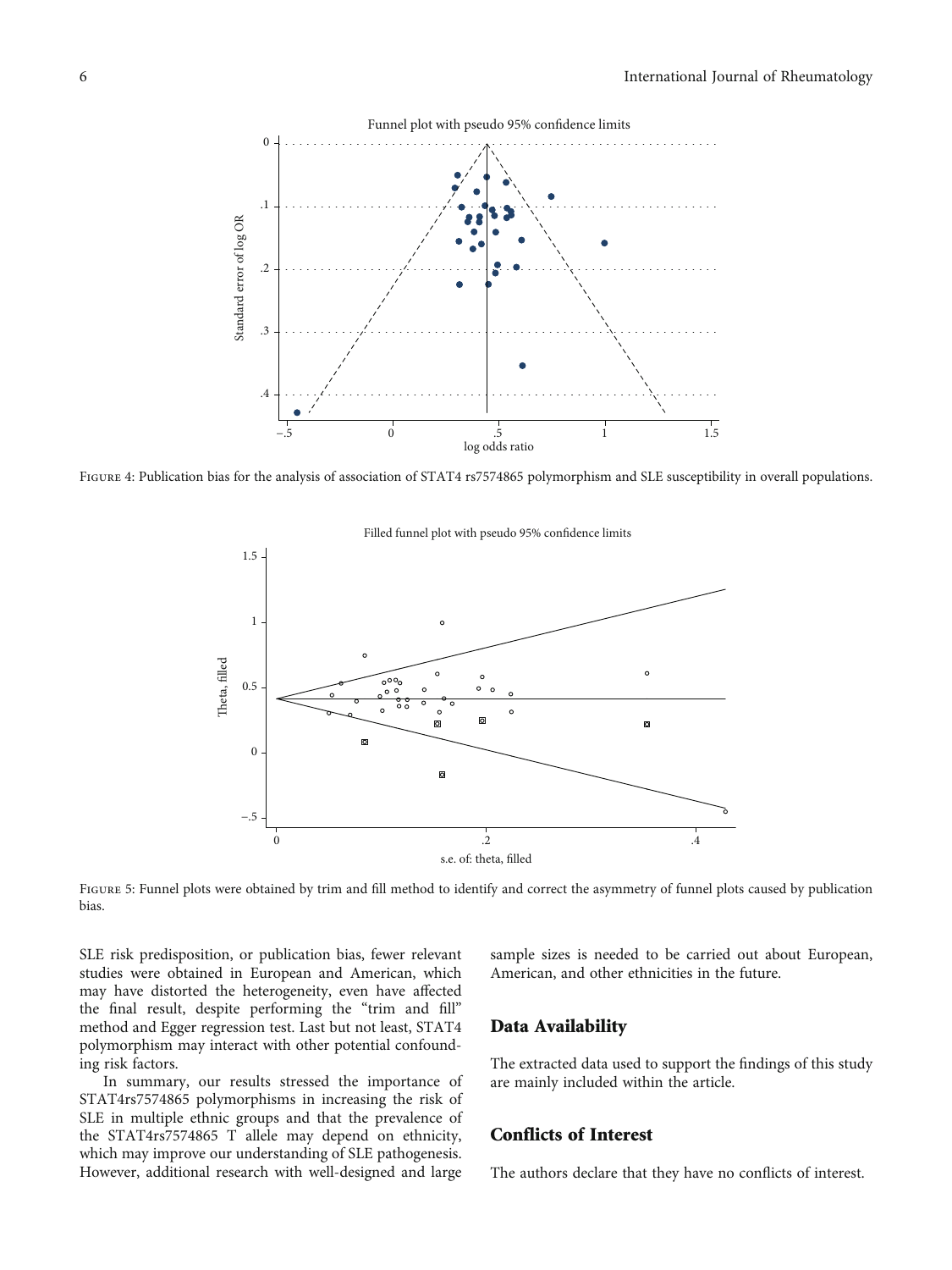<span id="page-5-0"></span>

FIGURE 4: Publication bias for the analysis of association of STAT4 rs7574865 polymorphism and SLE susceptibility in overall populations.



Filled funnel plot with pseudo 95% confdence limits

FIGURE 5: Funnel plots were obtained by trim and fill method to identify and correct the asymmetry of funnel plots caused by publication bias.

SLE risk predisposition, or publication bias, fewer relevant studies were obtained in European and American, which may have distorted the heterogeneity, even have affected the final result, despite performing the "trim and fill" method and Egger regression test. Last but not least, STAT4 polymorphism may interact with other potential confounding risk factors.

In summary, our results stressed the importance of STAT4rs7574865 polymorphisms in increasing the risk of SLE in multiple ethnic groups and that the prevalence of the STAT4rs7574865 T allele may depend on ethnicity, which may improve our understanding of SLE pathogenesis. However, additional research with well-designed and large sample sizes is needed to be carried out about European, American, and other ethnicities in the future.

#### Data Availability

The extracted data used to support the findings of this study are mainly included within the article.

## Conflicts of Interest

The authors declare that they have no conflicts of interest.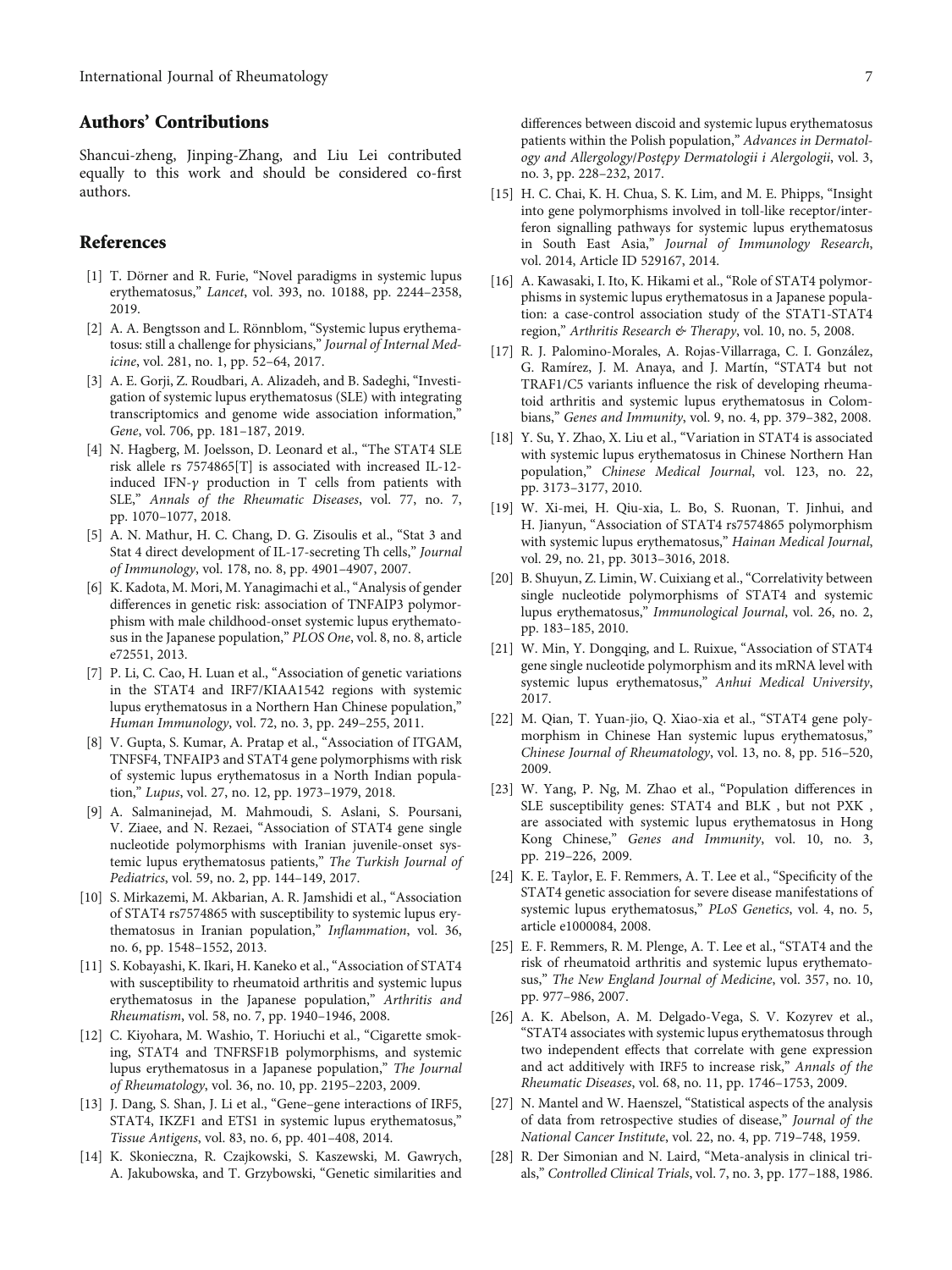#### <span id="page-6-0"></span>Authors' Contributions

Shancui-zheng, Jinping-Zhang, and Liu Lei contributed equally to this work and should be considered co-first authors.

#### References

- [1] T. Dörner and R. Furie, "Novel paradigms in systemic lupus erythematosus," Lancet, vol. 393, no. 10188, pp. 2244–2358, 2019.
- [2] A. A. Bengtsson and L. Rönnblom, "Systemic lupus erythematosus: still a challenge for physicians," Journal of Internal Medicine, vol. 281, no. 1, pp. 52–64, 2017.
- [3] A. E. Gorji, Z. Roudbari, A. Alizadeh, and B. Sadeghi, "Investigation of systemic lupus erythematosus (SLE) with integrating transcriptomics and genome wide association information," Gene, vol. 706, pp. 181–187, 2019.
- [4] N. Hagberg, M. Joelsson, D. Leonard et al., "The STAT4 SLE risk allele rs 7574865[T] is associated with increased IL-12 induced IFN-*γ* production in T cells from patients with SLE," Annals of the Rheumatic Diseases, vol. 77, no. 7, pp. 1070–1077, 2018.
- [5] A. N. Mathur, H. C. Chang, D. G. Zisoulis et al., "Stat 3 and Stat 4 direct development of IL-17-secreting Th cells," Journal of Immunology, vol. 178, no. 8, pp. 4901–4907, 2007.
- [6] K. Kadota, M. Mori, M. Yanagimachi et al., "Analysis of gender differences in genetic risk: association of TNFAIP3 polymorphism with male childhood-onset systemic lupus erythematosus in the Japanese population," PLOS One, vol. 8, no. 8, article e72551, 2013.
- [7] P. Li, C. Cao, H. Luan et al., "Association of genetic variations in the STAT4 and IRF7/KIAA1542 regions with systemic lupus erythematosus in a Northern Han Chinese population," Human Immunology, vol. 72, no. 3, pp. 249–255, 2011.
- [8] V. Gupta, S. Kumar, A. Pratap et al., "Association of ITGAM, TNFSF4, TNFAIP3 and STAT4 gene polymorphisms with risk of systemic lupus erythematosus in a North Indian population," Lupus, vol. 27, no. 12, pp. 1973–1979, 2018.
- [9] A. Salmaninejad, M. Mahmoudi, S. Aslani, S. Poursani, V. Ziaee, and N. Rezaei, "Association of STAT4 gene single nucleotide polymorphisms with Iranian juvenile-onset systemic lupus erythematosus patients," The Turkish Journal of Pediatrics, vol. 59, no. 2, pp. 144–149, 2017.
- [10] S. Mirkazemi, M. Akbarian, A. R. Jamshidi et al., "Association of STAT4 rs7574865 with susceptibility to systemic lupus erythematosus in Iranian population," Inflammation, vol. 36, no. 6, pp. 1548–1552, 2013.
- [11] S. Kobayashi, K. Ikari, H. Kaneko et al., "Association of STAT4 with susceptibility to rheumatoid arthritis and systemic lupus erythematosus in the Japanese population," Arthritis and Rheumatism, vol. 58, no. 7, pp. 1940–1946, 2008.
- [12] C. Kiyohara, M. Washio, T. Horiuchi et al., "Cigarette smoking, STAT4 and TNFRSF1B polymorphisms, and systemic lupus erythematosus in a Japanese population," The Journal of Rheumatology, vol. 36, no. 10, pp. 2195–2203, 2009.
- [13] J. Dang, S. Shan, J. Li et al., "Gene–gene interactions of IRF5, STAT4, IKZF1 and ETS1 in systemic lupus erythematosus," Tissue Antigens, vol. 83, no. 6, pp. 401–408, 2014.
- [14] K. Skonieczna, R. Czajkowski, S. Kaszewski, M. Gawrych, A. Jakubowska, and T. Grzybowski, "Genetic similarities and

differences between discoid and systemic lupus erythematosus patients within the Polish population," Advances in Dermatology and Allergology/Postępy Dermatologii i Alergologii, vol. 3, no. 3, pp. 228–232, 2017.

- [15] H. C. Chai, K. H. Chua, S. K. Lim, and M. E. Phipps, "Insight" into gene polymorphisms involved in toll-like receptor/interferon signalling pathways for systemic lupus erythematosus in South East Asia," Journal of Immunology Research, vol. 2014, Article ID 529167, 2014.
- [16] A. Kawasaki, I. Ito, K. Hikami et al., "Role of STAT4 polymorphisms in systemic lupus erythematosus in a Japanese population: a case-control association study of the STAT1-STAT4 region," Arthritis Research & Therapy, vol. 10, no. 5, 2008.
- [17] R. J. Palomino-Morales, A. Rojas-Villarraga, C. I. González, G. Ramírez, J. M. Anaya, and J. Martín, "STAT4 but not TRAF1/C5 variants influence the risk of developing rheumatoid arthritis and systemic lupus erythematosus in Colombians," Genes and Immunity, vol. 9, no. 4, pp. 379–382, 2008.
- [18] Y. Su, Y. Zhao, X. Liu et al., "Variation in STAT4 is associated with systemic lupus erythematosus in Chinese Northern Han population," Chinese Medical Journal, vol. 123, no. 22, pp. 3173–3177, 2010.
- [19] W. Xi-mei, H. Qiu-xia, L. Bo, S. Ruonan, T. Jinhui, and H. Jianyun, "Association of STAT4 rs7574865 polymorphism with systemic lupus erythematosus," Hainan Medical Journal, vol. 29, no. 21, pp. 3013–3016, 2018.
- [20] B. Shuyun, Z. Limin, W. Cuixiang et al., "Correlativity between single nucleotide polymorphisms of STAT4 and systemic lupus erythematosus," Immunological Journal, vol. 26, no. 2, pp. 183–185, 2010.
- [21] W. Min, Y. Dongqing, and L. Ruixue, "Association of STAT4 gene single nucleotide polymorphism and its mRNA level with systemic lupus erythematosus," Anhui Medical University, 2017.
- [22] M. Qian, T. Yuan-jio, Q. Xiao-xia et al., "STAT4 gene polymorphism in Chinese Han systemic lupus erythematosus,' Chinese Journal of Rheumatology, vol. 13, no. 8, pp. 516–520, 2009.
- [23] W. Yang, P. Ng, M. Zhao et al., "Population differences in SLE susceptibility genes: STAT4 and BLK , but not PXK , are associated with systemic lupus erythematosus in Hong Kong Chinese," Genes and Immunity, vol. 10, no. 3, pp. 219–226, 2009.
- [24] K. E. Taylor, E. F. Remmers, A. T. Lee et al., "Specificity of the STAT4 genetic association for severe disease manifestations of systemic lupus erythematosus," PLoS Genetics, vol. 4, no. 5, article e1000084, 2008.
- [25] E. F. Remmers, R. M. Plenge, A. T. Lee et al., "STAT4 and the risk of rheumatoid arthritis and systemic lupus erythematosus," The New England Journal of Medicine, vol. 357, no. 10, pp. 977–986, 2007.
- [26] A. K. Abelson, A. M. Delgado-Vega, S. V. Kozyrev et al., "STAT4 associates with systemic lupus erythematosus through two independent effects that correlate with gene expression and act additively with IRF5 to increase risk," Annals of the Rheumatic Diseases, vol. 68, no. 11, pp. 1746–1753, 2009.
- [27] N. Mantel and W. Haenszel, "Statistical aspects of the analysis of data from retrospective studies of disease," Journal of the National Cancer Institute, vol. 22, no. 4, pp. 719–748, 1959.
- [28] R. Der Simonian and N. Laird, "Meta-analysis in clinical trials," Controlled Clinical Trials, vol. 7, no. 3, pp. 177–188, 1986.